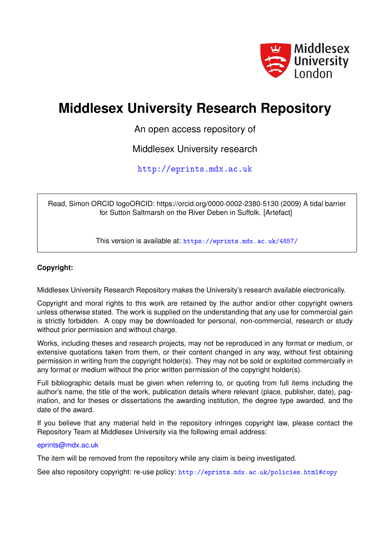

# **Middlesex University Research Repository**

An open access repository of

Middlesex University research

<http://eprints.mdx.ac.uk>

Read, Simon ORCID logoORCID: https://orcid.org/0000-0002-2380-5130 (2009) A tidal barrier for Sutton Saltmarsh on the River Deben in Suffolk. [Artefact]

This version is available at: <https://eprints.mdx.ac.uk/4857/>

#### **Copyright:**

Middlesex University Research Repository makes the University's research available electronically.

Copyright and moral rights to this work are retained by the author and/or other copyright owners unless otherwise stated. The work is supplied on the understanding that any use for commercial gain is strictly forbidden. A copy may be downloaded for personal, non-commercial, research or study without prior permission and without charge.

Works, including theses and research projects, may not be reproduced in any format or medium, or extensive quotations taken from them, or their content changed in any way, without first obtaining permission in writing from the copyright holder(s). They may not be sold or exploited commercially in any format or medium without the prior written permission of the copyright holder(s).

Full bibliographic details must be given when referring to, or quoting from full items including the author's name, the title of the work, publication details where relevant (place, publisher, date), pagination, and for theses or dissertations the awarding institution, the degree type awarded, and the date of the award.

If you believe that any material held in the repository infringes copyright law, please contact the Repository Team at Middlesex University via the following email address:

#### [eprints@mdx.ac.uk](mailto:eprints@mdx.ac.uk)

The item will be removed from the repository while any claim is being investigated.

See also repository copyright: re-use policy: <http://eprints.mdx.ac.uk/policies.html#copy>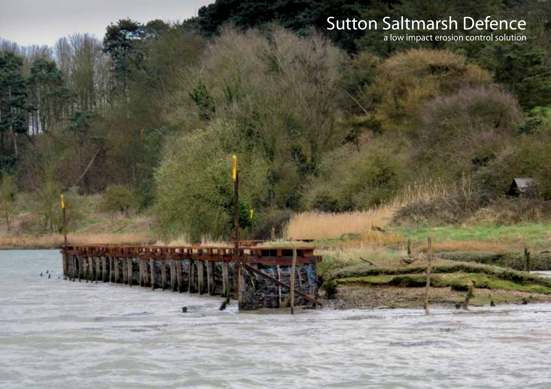## Sutton Saltmarsh Defence

 $\mathcal{O}(\sqrt{N})$ 

a low impact erosion control solution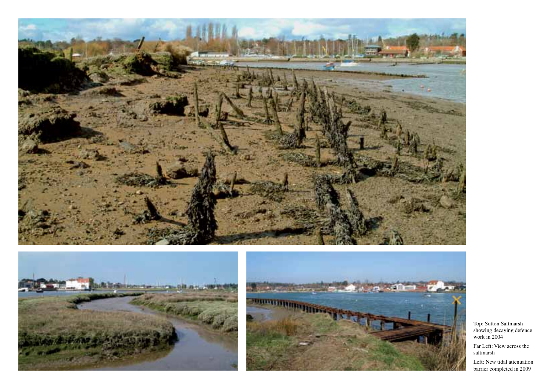

Top: Sutton Saltmarsh showing decaying defence work in 2004

Far Left: View across the saltmarsh

Left: New tidal attenuation barrier completed in 2009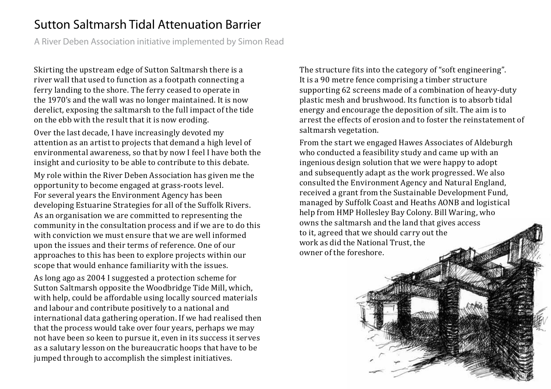### Sutton Saltmarsh Tidal Attenuation Barrier

A River Deben Association initiative implemented by Simon Read

Skirting the upstream edge of Sutton Saltmarsh there is a river wall that used to function as a footpath connecting a ferry landing to the shore. The ferry ceased to operate in the 1970's and the wall was no longer maintained. It is now derelict, exposing the saltmarsh to the full impact of the tide on the ebb with the result that it is now eroding.

Over the last decade, I have increasingly devoted my attention as an artist to projects that demand a high level of environmental awareness, so that by now I feel I have both the insight and curiosity to be able to contribute to this debate.

My role within the River Deben Association has given me the opportunity to become engaged at grass-roots level. For several years the Environment Agency has been developing Estuarine Strategies for all of the Suffolk Rivers. As an organisation we are committed to representing the community in the consultation process and if we are to do this with conviction we must ensure that we are well informed upon the issues and their terms of reference. One of our approaches to this has been to explore projects within our scope that would enhance familiarity with the issues.

As long ago as 2004 I suggested a protection scheme for Sutton Saltmarsh opposite the Woodbridge Tide Mill, which, with help, could be affordable using locally sourced materials and labour and contribute positively to a national and international data gathering operation. If we had realised then that the process would take over four years, perhaps we may not have been so keen to pursue it, even in its success it serves as a salutary lesson on the bureaucratic hoops that have to be jumped through to accomplish the simplest initiatives.

The structure fits into the category of "soft engineering". It is a 90 metre fence comprising a timber structure supporting 62 screens made of a combination of heavy-duty plastic mesh and brushwood. Its function is to absorb tidal energy and encourage the deposition of silt. The aim is to arrest the effects of erosion and to foster the reinstatement of saltmarsh vegetation.

From the start we engaged Hawes Associates of Aldeburgh who conducted a feasibility study and came up with an ingenious design solution that we were happy to adopt and subsequently adapt as the work progressed. We also consulted the Environment Agency and Natural England, received a grant from the Sustainable Development Fund, managed by Suffolk Coast and Heaths AONB and logistical help from HMP Hollesley Bay Colony. Bill Waring, who owns the saltmarsh and the land that gives access to it, agreed that we should carry out the work as did the National Trust, the owner of the foreshore.